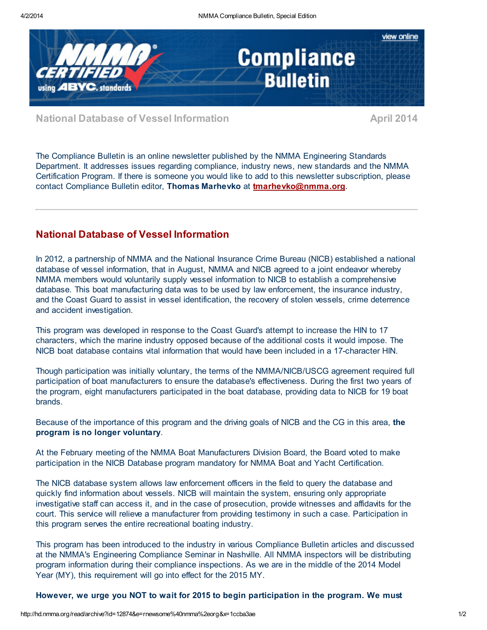

National Database of Vessel Information April 2014

The Compliance Bulletin is an online newsletter published by the NMMA Engineering Standards Department. It addresses issues regarding compliance, industry news, new standards and the NMMA Certification Program. If there is someone you would like to add to this newsletter subscription, please contact Compliance Bulletin editor, Thomas Marhevko at [tmarhevko@nmma.org](mailto:tmarhevko@nmma.org).

## National Database of Vessel Information

In 2012, a partnership of NMMA and the National Insurance Crime Bureau (NICB) established a national database of vessel information, that in August, NMMA and NICB agreed to a joint endeavor whereby NMMA members would voluntarily supply vessel information to NICB to establish a comprehensive database. This boat manufacturing data was to be used by law enforcement, the insurance industry, and the Coast Guard to assist in vessel identification, the recovery of stolen vessels, crime deterrence and accident investigation.

This program was developed in response to the Coast Guard's attempt to increase the HIN to 17 characters, which the marine industry opposed because of the additional costs it would impose. The NICB boat database contains vital information that would have been included in a 17-character HIN.

Though participation was initially voluntary, the terms of the NMMA/NICB/USCG agreement required full participation of boat manufacturers to ensure the database's effectiveness. During the first two years of the program, eight manufacturers participated in the boat database, providing data to NICB for 19 boat brands.

Because of the importance of this program and the driving goals of NICB and the CG in this area, the program is no longer voluntary.

At the February meeting of the NMMA Boat Manufacturers Division Board, the Board voted to make participation in the NICB Database program mandatory for NMMA Boat and Yacht Certification.

The NICB database system allows law enforcement officers in the field to query the database and quickly find information about vessels. NICB will maintain the system, ensuring only appropriate investigative staff can access it, and in the case of prosecution, provide witnesses and affidavits for the court. This service will relieve a manufacturer from providing testimony in such a case. Participation in this program serves the entire recreational boating industry.

This program has been introduced to the industry in various Compliance Bulletin articles and discussed at the NMMA's Engineering Compliance Seminar in Nashville. All NMMA inspectors will be distributing program information during their compliance inspections. As we are in the middle of the 2014 Model Year (MY), this requirement will go into effect for the 2015 MY.

However, we urge you NOT to wait for 2015 to begin participation in the program. We must